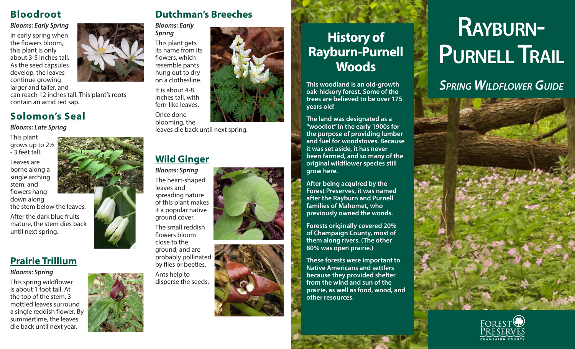### **Bloodroot**

#### *Blooms: Early Spring*

In early spring when the flowers bloom, this plant is only about 3-5 inches tall. As the seed capsules develop, the leaves continue growing

larger and taller, and can reach 12 inches tall. This plant's roots contain an acrid red sap.

### **Solomon's Seal**

*Blooms: Late Spring*

This plant grows up to 2½ - 3 feet tall.

Leaves are borne along a single arching stem, and flowers hang down along the stem below the leaves.

After the dark blue fruits mature, the stem dies back until next spring.

### **Prairie Trillium**

#### *Blooms: Spring*

This spring wildflower is about 1 foot tall. At the top of the stem, 3 mottled leaves surround a single reddish flower. By summertime, the leaves die back until next year.



### **Dutchman's Breeches**



This plant gets flowers, which resemble pants

inches tall, with fern-like leaves. Once done blooming, the

leaves die back until next spring.

### **Wild Ginger**

*Blooms: Spring* The heart-shaped leaves and spreading nature of this plant makes it a popular native ground cover. The small reddish

flowers bloom close to the ground, and are probably pollinated by flies or beetles.

Ants help to disperse the seeds.





# **History of Rayburn-Purnell Woods**

**This woodland is an old-growth oak-hickory forest. Some of the trees are believed to be over 175 years old!**

**The land was designated as a "woodlot" in the early 1900s for the purpose of providing lumber and fuel for woodstoves. Because it was set aside, it has never been farmed, and so many of the original wildflower species still grow here.** 

**After being acquired by the Forest Preserves, it was named after the Rayburn and Purnell families of Mahomet, who previously owned the woods.** 

**Forests originally covered 20% of Champaign County, most of them along rivers. (The other 80% was open prairie.)** 

**These forests were important to Native Americans and settlers because they provided shelter from the wind and sun of the prairie, as well as food, wood, and other resources.** 

# RAYBURN-**PURNELL TRAIL**

## SPRING WILDFLOWER GUIDE